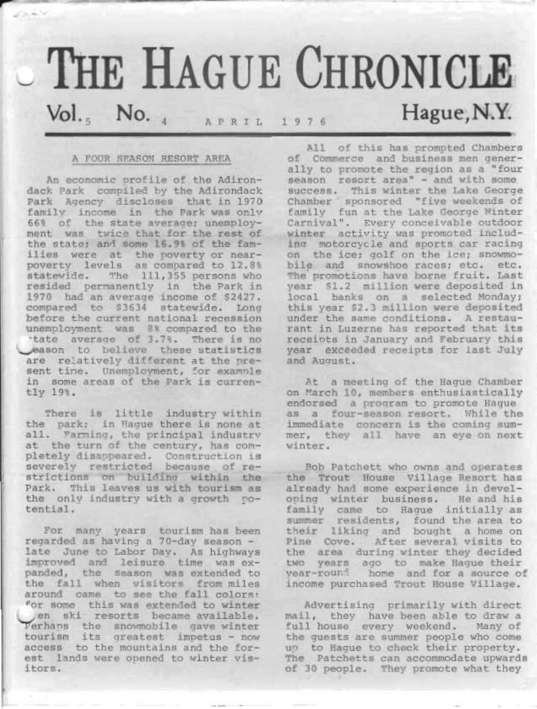# $\sim$  THE HAGUE CHRONICLE  $Vol.$ <sub>5</sub> No. 4 APRIL 1976

#### A FOUR SEASON RESORT AREA

r

೧೯೯೮

An economic profile of the Adirondack Park compiled by the Adirondack<br>Park Agency discloses that in 1970<br>family income in the Park was only<br>66% of the state average; unemploy-<br>ment was twice that for the rest of<br>the state; and some 16.9% of the fam-<br>ilies eason to believe these statistics<br>are relatively different at the present time. Unemployment, for examole<br>in some areas of the Park is curren-<br>tly 19?.

There is little industry within<br>the park; in Hague there is none at<br>all. Farming, the principal industry<br>at the turn of the century, has com-<br>pletely disappeared. Construction is<br>severely restricted because of re-<br>strictio

For many years tourism has been<br>regarded as having a 70-day season -<br>late June to Labor Day. As highways<br>improved and leisure time was ex-<br>panded, the season was extended to<br>the fall when visitors from miles<br>around came to en ski resorts became available.<br>Ferhans the snowmobile gave winter<br>tourism its greatest impetus - now access to the mountains and the for-<br>est lands were opened to winter vis-<br>itors.

All of this has prompted Chambers<br>of Commerce and business men gener-<br>ally to promote the region as a "four season resort area" - and with some<br>success. This winter the Lake George Chamber 'sponsored "five weekends of<br>family fun at the Lake George Winter<br>Carnival". Every conceivable outdoor<br>winter activity was promoted includ-<br>ing motorcycle and sports car racing<br>on the ice; golf on the ice; snowmo-<br> The promotions have borne fruit. Last<br>year \$1.2 million were deposited in local banks on a selected Monday; this year \$2.3 million were deposited under the same conditions. A restau-<br>rant in Luzerne has reported that its receipts in January and February this year exceeded receipts for last July and Auqust.

At a meeting of the Hague Chamber<br>on March 10, members enthusiastically endorsed a program to promote Hague<br>as a four-season resort. While the<br>immediate concern is the coming summer, they all have an eye on next winter.

Bob Patchett who owns and operates<br>the Trout House Village Resort has<br>already had some experience in devel-<br>oping winter business. He and his<br>family came to Hague initially as<br>summer residents, found the area to their liking and bought a home on<br>Pine Cove. After several visits to<br>the area during winter they decided<br>two years ago to make Hague their<br>year-round home and for a source of<br>income purchased Trout House Village.

Advertising primarily with direct<br>mail, they have been able to draw a<br>full house every weekend. Many of<br>the guests are summer people who come<br>up to Hague to check their property.<br>The Patchetts can accommodate upwards<br>of 30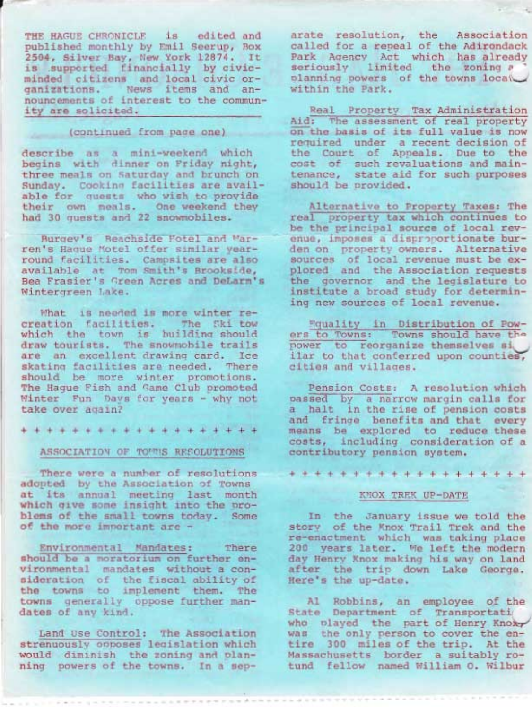THE HAGUE CHRONICLE is edited and published monthly by Emil Seerup, Box 2504, Silver Bay, New York 12874. It is supported financially by civicminded citizens and local civic organizations. News items and announcements of interest to the community are solicited.

(continued from page one)

describe as a mini-weekend which begins with dinner on Friday night, three meals on Saturday and brunch on Sunday. Cooking facilities are available for quests who wish to provide their own meals. One weekend they had 30 quests and 22 snowmobiles.

Burgey's Beachside Fotel and Marren's Haque Motel offer similar yearround facilities. Campsites are also available at Tom Smith's Brookside, Bea Frasier's Green Acres and DeLarm's Wintergreen Lake.

What is needed is more winter recreation facilities. The Ski tow which the town is building should draw tourists. The snowmobile trails are an excellent drawing card. Ice skating facilities are needed. There should be more winter promotions. The Haque Fish and Game Club promoted Winter Fun Davs for years - why not take over again?

\* \* \* \* \* \* \* \* \* \* \* \* \* \* \* \* \* \* \*

#### ASSOCIATION OF TOWNS RESOLUTIONS

There were a number of resolutions adopted by the Association of Towns at its annual meeting last month<br>which give some insight into the problems of the small towns today. Some of the more important are -

Environmental Mandates: There should be a moratorium on further environmental mandates without a consideration of the fiscal ability of the towns to implement them. The towns generally oppose further mandates of any kind.

Land Use Control: The Association strenuously opposes legislation which would diminish the zoning and planning powers of the towns. In a sep-

arate resolution, the Association called for a repeal of the Adirondack Park Agency Act which has already<br>seriously limited the zoning a planning powers of the towns local within the Park.

Real Property Tax Administration Aid: The assessment of real property on the basis of its full value is now required under a recent decision of the Court of Appeals. Due to the cost of such revaluations and maintenance, state aid for such purposes should be provided.

Alternative to Property Taxes: The real property tax which continues to be the principal source of local revenue, imposes a dispronortionate burden on property owners. Alternative<br>sources of local revenue must be ex-<br>plored and the Association requests the governor and the legislature to institute a broad study for determining new sources of local revenue.

Equality in Distribution of Pow-<br>ers to Towns: Towns should have the<br>power to reorganize themselves si ilar to that conferred upon counties, cities and villages.

Pension Costs: A resolution which passed by a narrow margin calls for a halt in the rise of pension costs and fringe benefits and that every means be explored to reduce these costs, including consideration of a contributory pension system.

\* \* \* \* \* \* \* \* \* \* \* \* \* \* \* \* \* \* \*

## KNOX TREK UP-DATE

In the January issue we told the story of the Knox Trail Trek and the re-enactment which was taking place 200 years later. We left the modern day Henry Knox making his way on land after the trip down Lake George. Here's the up-date.

Al Robbins, an employee of the State Department of Transportati who played the part of Henry Knoxy<br>was the only person to cover the entire 300 miles of the trip. At the Massachusetts border a suitably rotund fellow named William O. Wilbur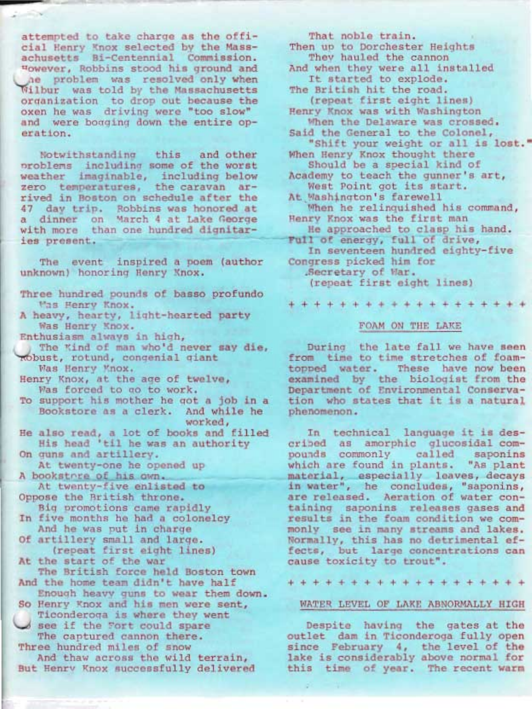attempted to take charge as the offi-<br>cial Henry Knox selected by the Mass-<br>achusetts Bi-Centennial Commission.<br>However, Robbins stood his ground and he problem was resolved only when Wilbur was told by the Massachusetts<br>organization to drop out because the oxen he was driving were "too slow" and were booging down the entire op- eration.

Notwithstandinq this and other oroblems includinq some of the worst weather imaginable, including below zero temperatures, the caravan ar-<br>rived in Boston on schedule after the<br>47 day trip. Robbins was honored at<br>a dinner on March 4 at Lake George with more than one hundred dignitar-<br>ies present.

The event inspired a poe<br>
unknown) honoring Henry Knox. The event inspired a poem (author

- Three hundred pounds of basso profundo
- Was Henry Knox.<br>A heavy, hearty, light-hearted party Was Henry Knox.
- 
- Enthusiasm always in high,<br>The Kind of man who'd never say die,<br>Robust, rotund, congenial giant<br>Vas Henry Knox.
- Henry Knox, at the age of twelve,<br>Was forced to go to work.
- To support his mother he qot a job in a Bookstore as a clerk. And while he
- worked,<br>also read, a lot of books and fill<br>His head 'til he was an authority He also read, a lot of books and filled
- At twenty-one he opened up On guns and artillery.
- At twenty-five enlisted to A bookstore of his own.
- 
- Oppose the British throne.<br>Big promotions came rapidly<br>In five months he had a colonelcy<br>And he was put in charge<br>Of artillery small and large.<br>(repeat first eight lines)<br>At the start of the war
- 
- The British force held Boston town
- And the home team didn't have half
- Enough heavy guns to wear them down.
- So Henry Knox and his men were sent,<br>Ticonderoga is where they went<br>See if the Fort could spare<br>The captured cannon there.
- Three hundred miles of snow

And thaw across the wild terrain,<br>But Henry Knox successfully delivered

That noble train. Then up to Dorchester Heights<br>They hauled the cannon<br>And when they were all installed

It started to explode.<br>The British hit the road.<br>(repeat first eight lines)<br>Henry Knox was with Washington<br>When the Delaware was crossed. The Delaware was colonel, said the General to the Colonel, "Shift your weight or all is lost."

Should be a special kind of

Academy to teach the gunner's art,<br>West Point got its start.

At Washington's farewell

- When he relinquished his command,<br>Henry Knox was the first man<br>He approached to clasp his hand.
- 

Full of energy, full of drive,<br>In seventeen hundred eighty-five<br>Congress picked him for<br>Secretary of War.

(repeat first eight lines).

+++++++++++++++++++

## FOAM ON THE LAKE

During the late fall we have seen<br>from time to time stretches of foam-<br>topped water. These have now been<br>examined by the biologist from the Department of Environmental Conserva- tion who states that it is a natural phenomenon.

In technical language it is des-<br>cribed as amorphic glucosidal com-<br>pounds commonly called saponins<br>which are found in plants. "As plant<br>material, especially leaves, decays<br>in water", he concludes, "saponins,<br>are released. fects, but large concentrations can cause toxicity to trout".

+++++++++++++++++++

## WATER LEVEL OF LAKE ABNORMALLY HIGH

Despite having the gates at the outlet dam in Ticonderoga fully open since February 4, the level of the lake is considerably above normal for this time of year. The recent warm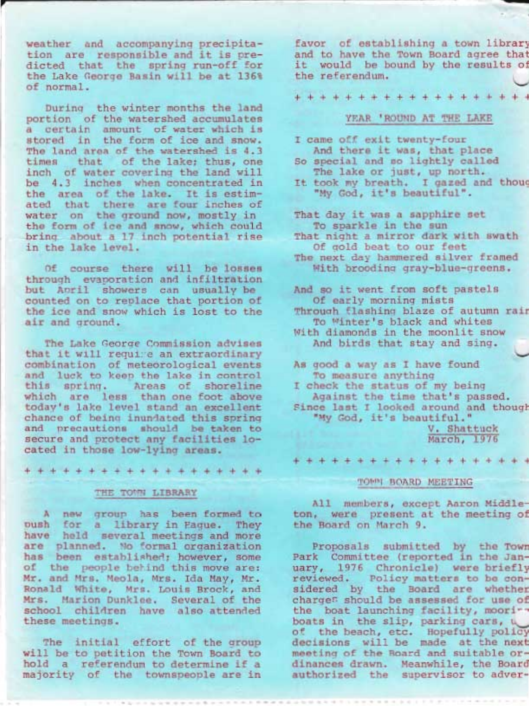weather and accompanying precipita-<br>tion are responsible and it is pre-<br>dicted that the spring run-off for the Lake George Basin will be at 135% of normal.

During the winter months the land portion of the watershed accumulates a certain amount of water which is stored in the form of ice and snow. The land area of the watershed is 4.3 times that of the lake; thus, one inch of water covering the land will be 4.3 inches when concentrated in the area of the lake. It is estimated that there are four inches of water on the ground now, mostly in the form of ice and snow, which could bring about a 17 inch potential rise in the lake leveI.

Of course there will be losses through evaporation and infiltration but Anril showers can usually be counted on to replace that portion of the ice and snow which is lost to the air and ground.

The Lake Georqe Commission advises that it will require an extraordinary<br>combination of meteorological events and luck to keep the lake in control this spring. Areas of shoreline which are less than one foot above today's lake leve1 stand an excellent chance of being inundated this spring<br>and precautions should be taken to secure and protect any facilities located in those low-lying areas.

+o1\*+++++++++++++++

#### THE TOWN LIBRARY

A new group has been formed to<br>push for a library in Pague. They<br>have held several meetings and more are planned. No formal organization<br>has been established; however, some of the people behind this move are: Mr. and Mrs. Meola, Mrs. Ida May, Mr. Ronald White, Mrs. Louis Brock, and Mrs. Marion Dunklee. Several of the school children have also attended these meetings.

The initial effort of the group<br>will be to petition the Town Board to hold a referendum to determine if a majority of the townspeople are in favor of establishing a town library and to have the Town Board agree that it would be bound by the results of the referendum.

--I

+++++++++++++++++++

## YEAR 'ROUND AT THE LAKE

- I came off exit twenty-four And there it was, that Place So special and so lightly called
- The lake or just, up north. It took my breath. I gazed and thoug
- "My God, it's beautiful".

That day it was a sapphire set To sparkle in the sun

- That night a mirror dark with swath Of qold beat to our feet
- The next day hammered silver framed With brooding gray-blue-greens.

And so it went from soft pastels Of early morning mists Throuqh flashinq blaze of autumn rair To Winter's black and whites With diamonds in the moonlit snow

And birds that stay and sing.

As good a way as I have found To measure anything<br>I check the status of my being<br>Against the time that's passed.<br>Since last I looked around and though "My God, it's beautiful."<br>V. Shattuck

March, 1976

+++++++++++++++++++

#### TOWN BOARD MEETING

A11 members, except Aaron Midd1eton, were present at the meeting of the Board on March 9.

Proposals submitted by the Town Park Committee (reported in the January, L976 Chronicle) were briefly reviewed. Policy matters to be considered by the Board are whether charges should be assessed for use of the boat launching facility, moori-boats in the slip, parking cars,  $\cup$  of the beach, etc. Hopefully policy decisions will be made at the next meeting of the Board and suitable ordinances drawn. Meanwhile, the Board authorized the supervisor to adver-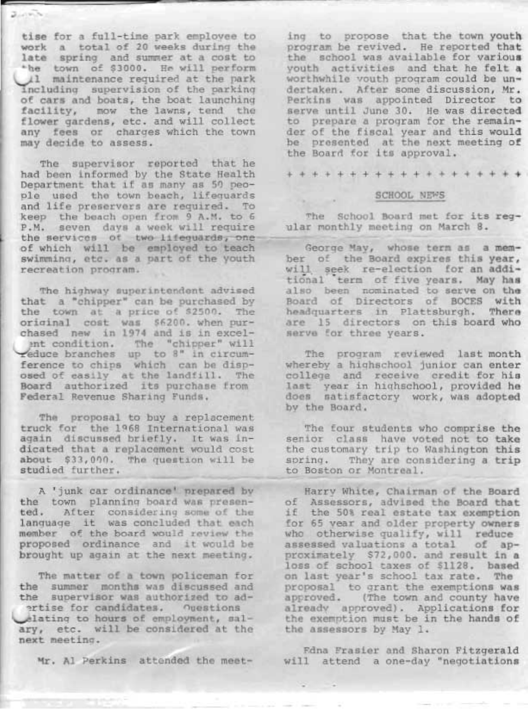tise for a full-time park emplovee to work a total of 20 weeks during the late spring and summer at a cost to<br>-he town of \$3000. He will perform 11 maintenance required at the park<br>including supervision of the parking<br>of cars and boats, the boat launching<br>facility, mow the lawns, tend the flower gardens, etc. and will collect any fees or charges which the town may decide to assess.

The supervisor reported that he had been informed by the State Health Department that if as many as 50 peo-<br>ple used the town beach, lifequards and life preservers are required. To keep the beach open from 9 A.M. to 6 P.M. seven days a week will require<br>the services of two lifeguards, one<br>of which will be employed to teach swimminq, etc. as a part of the Youth recreation program.

The highway superintendent advised that a "chipper" can be purchased by the town at a price of \$2500. The original cost was \$6200. when pur-<br>chased new in 1974 and is in excelent condition. The "chipper" will reduce branches up to 8" in circumference to chips which can be disposed of easily at the landfill. The Board authorized its purchase from Federal Revenue Sharing Funds.

The proposal to buy a replacement<br>truck for the 1968 International was again discussed briefly. It was indicated that a replacement would cost about \$33,000. The question will be studied further.

A 'junk car ordinance' prepared by the town planning board was presen- ted. After considering some of the language it was concluded that each member of the board would review the proposed ordinance and it would be brought up again at the next meeting.

The matter of a town policeman for the summer months was discussed and the supervisor was authorized to adertise for candidates. ouestions elating to hours of employment, salary, etc. will be considered at the next meetinq.

Mr. Al Perkins attended the meet-

ing to propose that the town youth program be revived. He reported that the school was available for various<br>youth activities and that he felt a worthwhile vouth program could be undertaken. After some discussion, Mr. Perkins was appointed Director to serve until June 30. He was directed to prepare a program for the remainder of the fiscal year and this would be presented at the next meeting of the Board for its approval.

+++++++++++++++++++

#### SCHOOL NEWS

The School Board met for its reg ular monthly meeting on March 8.

George May, whose term as a member of the Board expires this year,<br>will seek re-election for an additional 'term of five years. May has also been nominated to serve on the Board of Directors of BOCES with headquarters in Plattsburgh. There are 15 directors on this board who serve for three years.

The program reviewed last month whereby a highschool junior can enter college and receive credit for his last year in hiqhschool, provided he does satisfactory work, was adopted by the Board.

The four students who comprise the<br>senior class have voted not to take the customary trip to Washington this spring. They are considering a trip<br>to Boston or Montreal.

Harry White, Chairman of the Board of Assessors, advised the Board that if the 50% real estate tax exemption<br>for 65 year and older property owners who otherwise qualify, will reduce assessed valuations a total of ap-<br>proximately \$72,000. and result in a loss of school taxes of \$1128. based on last year's school tax rate. The proposal to qrant the exemptions was approved. (The town and county have already approved). Applications for the exemption must be in the hands of the assessors by May 1.

Fdna Frasier and Sharon Fitzgerald. will attend a one-day "negotiations